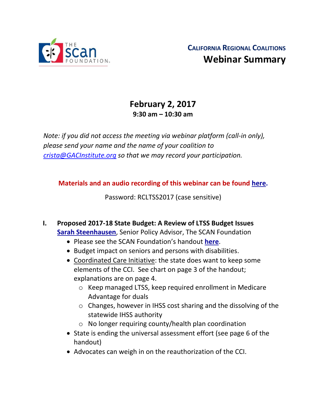

# **February 2, 2017 9:30 am – 10:30 am**

*Note: if you did not access the meeting via webinar platform (call-in only), please send your name and the name of your coalition to [crista@GACInstitute.org](mailto:crista@GACInstitute.org) so that we may record your participation.* 

**Materials and an audio recording of this webinar can be found [here.](http://www.ccltss.org/regional-coalition-meeting-materials/)**

Password: RCLTSS2017 (case sensitive)

- **I. Proposed 2017-18 State Budget: A Review of LTSS Budget Issues [Sarah Steenhausen](mailto:SSteenhausen@TheSCANFoundation.org)**, Senior Policy Advisor, The SCAN Foundation
	- Please see the SCAN Foundation's handout **[here](http://www.ccltss.org/cc-content-wp/uploads/2016/10/2017-18_proposed_budget_fact_sheet.pdf)**.
	- Budget impact on seniors and persons with disabilities.
	- Coordinated Care Initiative: the state does want to keep some elements of the CCI. See chart on page 3 of the handout; explanations are on page 4.
		- o Keep managed LTSS, keep required enrollment in Medicare Advantage for duals
		- o Changes, however in IHSS cost sharing and the dissolving of the statewide IHSS authority
		- o No longer requiring county/health plan coordination
	- State is ending the universal assessment effort (see page 6 of the handout)
	- Advocates can weigh in on the reauthorization of the CCI.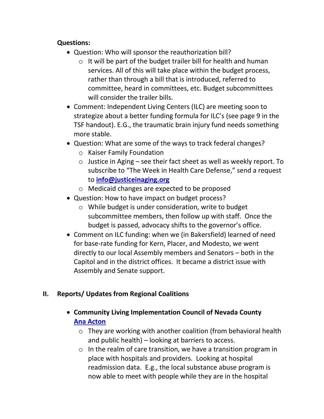#### **Questions:**

- Question: Who will sponsor the reauthorization bill?
	- o It will be part of the budget trailer bill for health and human services. All of this will take place within the budget process, rather than through a bill that is introduced, referred to committee, heard in committees, etc. Budget subcommittees will consider the trailer bills.
- Comment: Independent Living Centers (ILC) are meeting soon to strategize about a better funding formula for ILC's (see page 9 in the TSF handout). E.G., the traumatic brain injury fund needs something more stable.
- Question: What are some of the ways to track federal changes?
	- o Kaiser Family Foundation
	- $\circ$  Justice in Aging see their fact sheet as well as weekly report. To subscribe to "The Week in Health Care Defense," send a request to **[info@justiceinaging.org](mailto:info@justiceinaging.org)**
	- o Medicaid changes are expected to be proposed
- Question: How to have impact on budget process?
	- o While budget is under consideration, write to budget subcommittee members, then follow up with staff. Once the budget is passed, advocacy shifts to the governor's office.
- Comment on ILC funding: when we (in Bakersfield) learned of need for base-rate funding for Kern, Placer, and Modesto, we went directly to our local Assembly members and Senators – both in the Capitol and in the district offices. It became a district issue with Assembly and Senate support.

# **II. Reports/ Updates from Regional Coalitions**

- **Community Living Implementation Council of Nevada County [Ana Acton](mailto:ana@freed.org)**
	- o They are working with another coalition (from behavioral health and public health) – looking at barriers to access.
	- o In the realm of care transition, we have a transition program in place with hospitals and providers. Looking at hospital readmission data. E.g., the local substance abuse program is now able to meet with people while they are in the hospital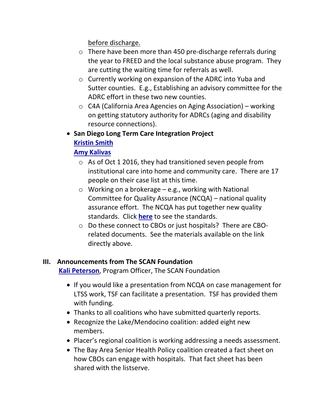before discharge.

- o There have been more than 450 pre-discharge referrals during the year to FREED and the local substance abuse program. They are cutting the waiting time for referrals as well.
- o Currently working on expansion of the ADRC into Yuba and Sutter counties. E.g., Establishing an advisory committee for the ADRC effort in these two new counties.
- o C4A (California Area Agencies on Aging Association) working on getting statutory authority for ADRCs (aging and disability resource connections).
- **San Diego Long Term Care Integration Project [Kristin Smith](mailto:kristen.smith@sdcounty.ca.gov)**

## **[Amy Kalivas](mailto:akalivas@a2isd.org)**

- $\circ$  As of Oct 1 2016, they had transitioned seven people from institutional care into home and community care. There are 17 people on their case list at this time.
- $\circ$  Working on a brokerage e.g., working with National Committee for Quality Assurance (NCQA) – national quality assurance effort. The NCQA has put together new quality standards. Click **[here](http://www.ncqa.org/programs/accreditation/health-plan-accreditation-2016-standards)** to see the standards.
- o Do these connect to CBOs or just hospitals? There are CBOrelated documents. See the materials available on the link directly above.

### **III. Announcements from The SCAN Foundation**

**[Kali Peterson](mailto:Kpeterson@thescanfoundation.org)**, Program Officer, The SCAN Foundation

- If you would like a presentation from NCQA on case management for LTSS work, TSF can facilitate a presentation. TSF has provided them with funding.
- Thanks to all coalitions who have submitted quarterly reports.
- Recognize the Lake/Mendocino coalition: added eight new members.
- Placer's regional coalition is working addressing a needs assessment.
- The Bay Area Senior Health Policy coalition created a fact sheet on how CBOs can engage with hospitals. That fact sheet has been shared with the listserve.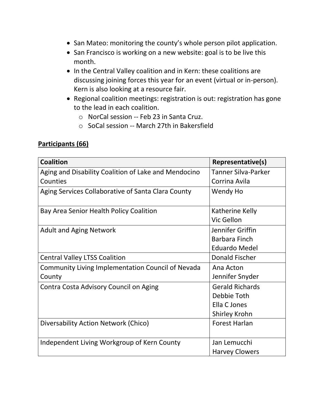- San Mateo: monitoring the county's whole person pilot application.
- San Francisco is working on a new website: goal is to be live this month.
- In the Central Valley coalition and in Kern: these coalitions are discussing joining forces this year for an event (virtual or in-person). Kern is also looking at a resource fair.
- Regional coalition meetings: registration is out: registration has gone to the lead in each coalition.
	- o NorCal session -- Feb 23 in Santa Cruz.
	- o SoCal session -- March 27th in Bakersfield

### **Participants (66)**

| <b>Coalition</b>                                         | Representative(s)          |
|----------------------------------------------------------|----------------------------|
| Aging and Disability Coalition of Lake and Mendocino     | <b>Tanner Silva-Parker</b> |
| Counties                                                 | Corrina Avila              |
| Aging Services Collaborative of Santa Clara County       | Wendy Ho                   |
| Bay Area Senior Health Policy Coalition                  | Katherine Kelly            |
|                                                          | Vic Gellon                 |
| <b>Adult and Aging Network</b>                           | Jennifer Griffin           |
|                                                          | Barbara Finch              |
|                                                          | <b>Eduardo Medel</b>       |
| <b>Central Valley LTSS Coalition</b>                     | Donald Fischer             |
| <b>Community Living Implementation Council of Nevada</b> | Ana Acton                  |
| County                                                   | Jennifer Snyder            |
| Contra Costa Advisory Council on Aging                   | <b>Gerald Richards</b>     |
|                                                          | Debbie Toth                |
|                                                          | Ella C Jones               |
|                                                          | Shirley Krohn              |
| Diversability Action Network (Chico)                     | <b>Forest Harlan</b>       |
| Independent Living Workgroup of Kern County              | Jan Lemucchi               |
|                                                          | <b>Harvey Clowers</b>      |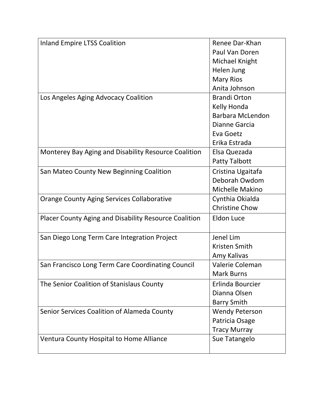| <b>Inland Empire LTSS Coalition</b>                          | Renee Dar-Khan          |
|--------------------------------------------------------------|-------------------------|
|                                                              | Paul Van Doren          |
|                                                              | Michael Knight          |
|                                                              | Helen Jung              |
|                                                              | <b>Mary Rios</b>        |
|                                                              | Anita Johnson           |
| Los Angeles Aging Advocacy Coalition                         | <b>Brandi Orton</b>     |
|                                                              | Kelly Honda             |
|                                                              | <b>Barbara McLendon</b> |
|                                                              | Dianne Garcia           |
|                                                              | Eva Goetz               |
|                                                              | Erika Estrada           |
| Monterey Bay Aging and Disability Resource Coalition         | Elsa Quezada            |
|                                                              | <b>Patty Talbott</b>    |
| San Mateo County New Beginning Coalition                     | Cristina Ugaitafa       |
|                                                              | Deborah Owdom           |
|                                                              | Michelle Makino         |
| <b>Orange County Aging Services Collaborative</b>            | Cynthia Okialda         |
|                                                              | <b>Christine Chow</b>   |
| <b>Placer County Aging and Disability Resource Coalition</b> | <b>Eldon Luce</b>       |
|                                                              |                         |
| San Diego Long Term Care Integration Project                 | Jenel Lim               |
|                                                              | <b>Kristen Smith</b>    |
|                                                              | Amy Kalivas             |
| San Francisco Long Term Care Coordinating Council            | Valerie Coleman         |
|                                                              | <b>Mark Burns</b>       |
| The Senior Coalition of Stanislaus County                    | Erlinda Bourcier        |
|                                                              | Dianna Olsen            |
|                                                              | <b>Barry Smith</b>      |
| Senior Services Coalition of Alameda County                  | <b>Wendy Peterson</b>   |
|                                                              | Patricia Osage          |
|                                                              | <b>Tracy Murray</b>     |
| Ventura County Hospital to Home Alliance                     | Sue Tatangelo           |
|                                                              |                         |